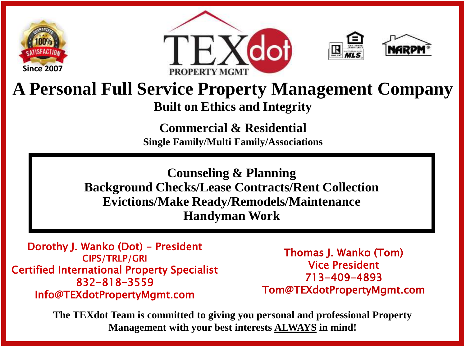







## **A Personal Full Service Property Management Company Built on Ethics and Integrity**

**Commercial & Residential Single Family/Multi Family/Associations**

**Counseling & Planning Background Checks/Lease Contracts/Rent Collection Evictions/Make Ready/Remodels/Maintenance Handyman Work**

Dorothy J. Wanko (Dot) - President CIPS/TRLP/GRI Certified International Property Specialist 832-818-3559 Info@TEXdotPropertyMgmt.com

Thomas J. Wanko (Tom) Vice President 713-409-4893 Tom@TEXdotPropertyMgmt.com

**The TEXdot Team is committed to giving you personal and professional Property Management with your best interests ALWAYS in mind!**